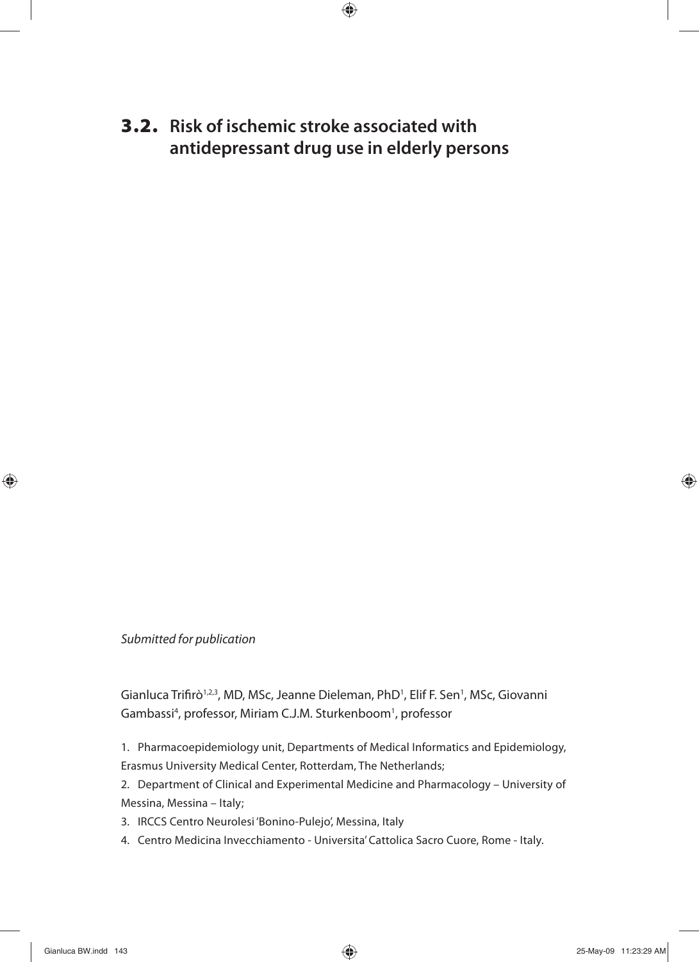**3.2. Risk of ischemic stroke associated with antidepressant drug use in elderly persons**

Submitted for publication

Gianluca Trifirò<sup>1,2,3</sup>, MD, MSc, Jeanne Dieleman, PhD<sup>1</sup>, Elif F. Sen<sup>1</sup>, MSc, Giovanni Gambassi<sup>4</sup>, professor, Miriam C.J.M. Sturkenboom<sup>1</sup>, professor

1. Pharmacoepidemiology unit, Departments of Medical Informatics and Epidemiology, Erasmus University Medical Center, Rotterdam, The Netherlands;

2. Department of Clinical and Experimental Medicine and Pharmacology – University of Messina, Messina – Italy;

- 3. IRCCS Centro Neurolesi 'Bonino-Pulejo', Messina, Italy
- 4. Centro Medicina Invecchiamento Universita' Cattolica Sacro Cuore, Rome Italy.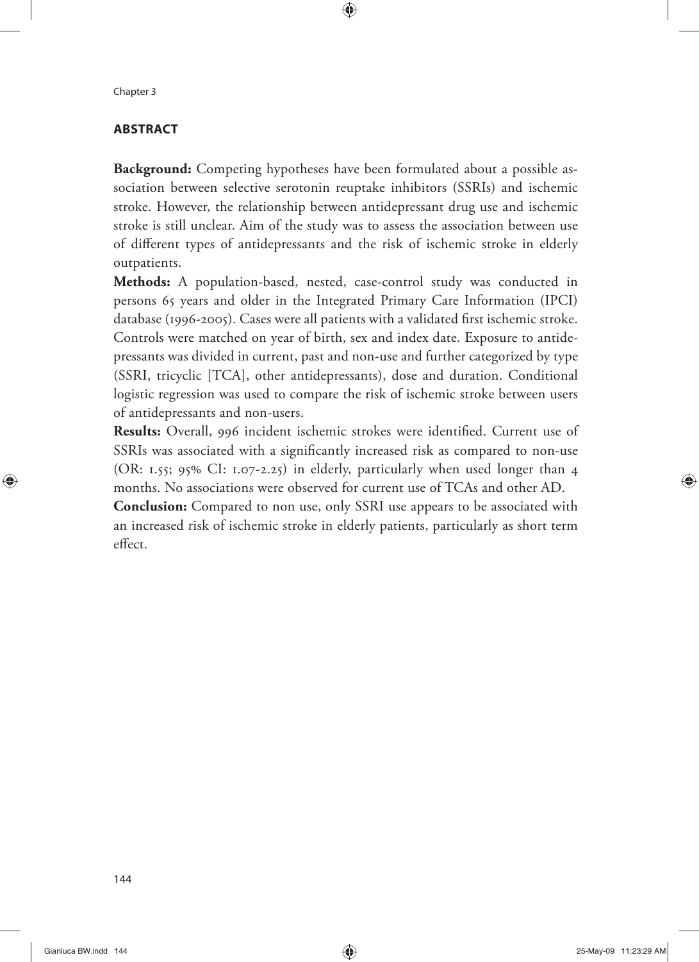# **ABSTRACT**

**Background:** Competing hypotheses have been formulated about a possible association between selective serotonin reuptake inhibitors (SSRIs) and ischemic stroke. However, the relationship between antidepressant drug use and ischemic stroke is still unclear. Aim of the study was to assess the association between use of different types of antidepressants and the risk of ischemic stroke in elderly outpatients.

**Methods:** A population-based, nested, case-control study was conducted in persons 65 years and older in the Integrated Primary Care Information (IPCI) database (1996-2005). Cases were all patients with a validated first ischemic stroke. Controls were matched on year of birth, sex and index date. Exposure to antidepressants was divided in current, past and non-use and further categorized by type (SSRI, tricyclic [TCA], other antidepressants), dose and duration. Conditional logistic regression was used to compare the risk of ischemic stroke between users of antidepressants and non-users.

Results: Overall, 996 incident ischemic strokes were identified. Current use of SSRIs was associated with a significantly increased risk as compared to non-use (OR: 1.55; 95% CI: 1.07-2.25) in elderly, particularly when used longer than 4 months. No associations were observed for current use of TCAs and other AD.

**Conclusion:** Compared to non use, only SSRI use appears to be associated with an increased risk of ischemic stroke in elderly patients, particularly as short term effect.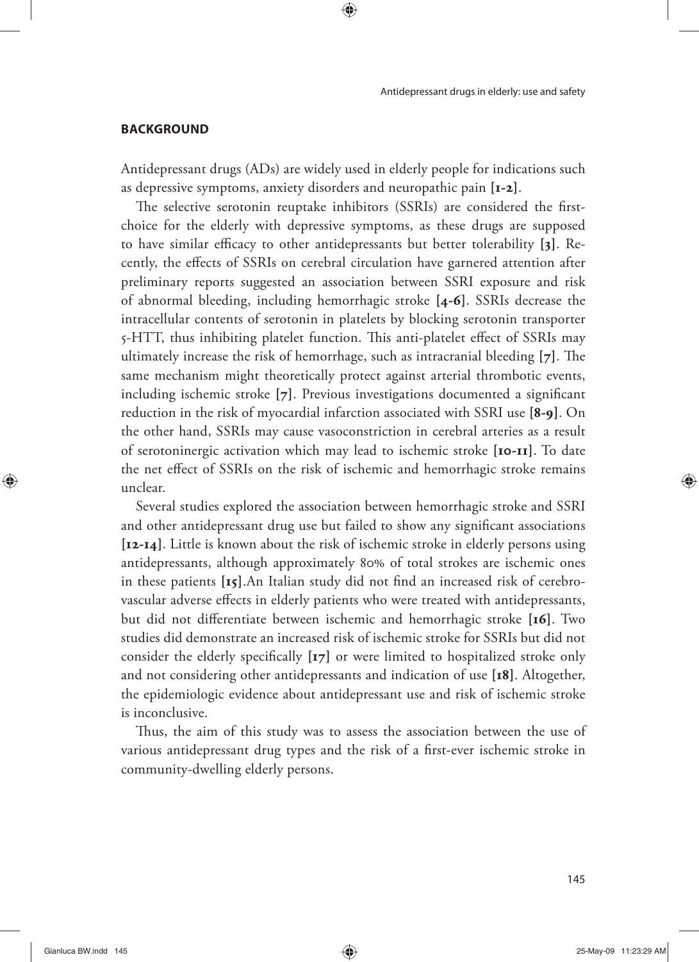#### **BACKGROUND**

Antidepressant drugs (ADs) are widely used in elderly people for indications such as depressive symptoms, anxiety disorders and neuropathic pain **[1-2]**.

The selective serotonin reuptake inhibitors (SSRIs) are considered the firstchoice for the elderly with depressive symptoms, as these drugs are supposed to have similar efficacy to other antidepressants but better tolerability [3]. Recently, the effects of SSRIs on cerebral circulation have garnered attention after preliminary reports suggested an association between SSRI exposure and risk of abnormal bleeding, including hemorrhagic stroke **[4-6]**. SSRIs decrease the intracellular contents of serotonin in platelets by blocking serotonin transporter 5-HTT, thus inhibiting platelet function. This anti-platelet effect of SSRIs may ultimately increase the risk of hemorrhage, such as intracranial bleeding [7]. The same mechanism might theoretically protect against arterial thrombotic events, including ischemic stroke [7]. Previous investigations documented a significant reduction in the risk of myocardial infarction associated with SSRI use **[8-9]**. On the other hand, SSRIs may cause vasoconstriction in cerebral arteries as a result of serotoninergic activation which may lead to ischemic stroke **[10-11]**. To date the net effect of SSRIs on the risk of ischemic and hemorrhagic stroke remains unclear.

Several studies explored the association between hemorrhagic stroke and SSRI and other antidepressant drug use but failed to show any significant associations **[12-14]**. Little is known about the risk of ischemic stroke in elderly persons using antidepressants, although approximately 80% of total strokes are ischemic ones in these patients [15].An Italian study did not find an increased risk of cerebrovascular adverse effects in elderly patients who were treated with antidepressants, but did not differentiate between ischemic and hemorrhagic stroke [16]. Two studies did demonstrate an increased risk of ischemic stroke for SSRIs but did not consider the elderly specifically [17] or were limited to hospitalized stroke only and not considering other antidepressants and indication of use **[18]**. Altogether, the epidemiologic evidence about antidepressant use and risk of ischemic stroke is inconclusive.

Thus, the aim of this study was to assess the association between the use of various antidepressant drug types and the risk of a first-ever ischemic stroke in community-dwelling elderly persons.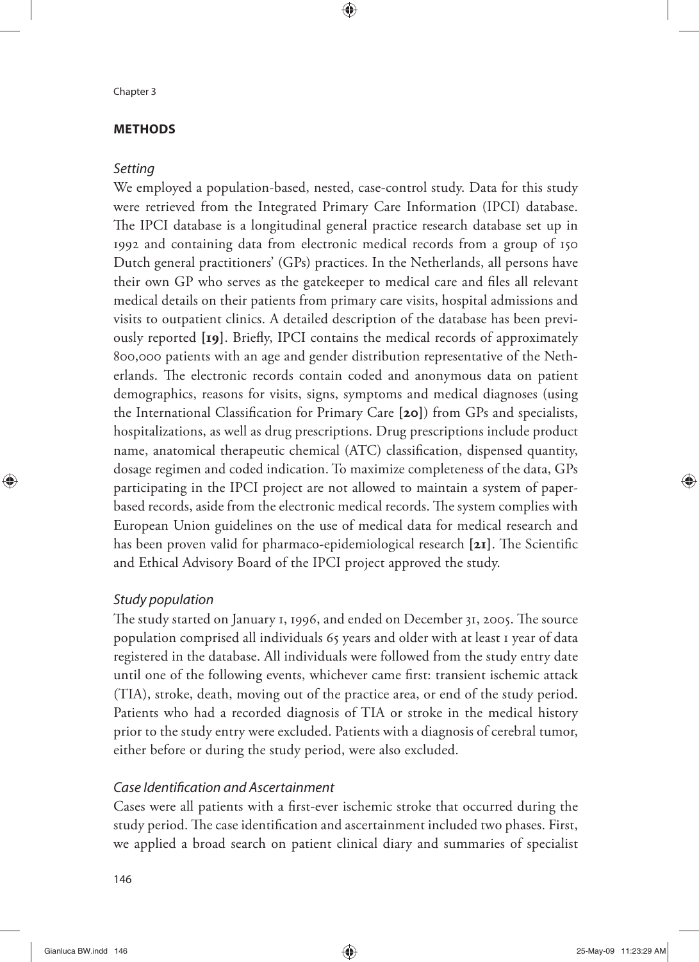## **METHODS**

# **Setting**

We employed a population-based, nested, case-control study. Data for this study were retrieved from the Integrated Primary Care Information (IPCI) database. The IPCI database is a longitudinal general practice research database set up in 1992 and containing data from electronic medical records from a group of 150 Dutch general practitioners' (GPs) practices. In the Netherlands, all persons have their own GP who serves as the gatekeeper to medical care and files all relevant medical details on their patients from primary care visits, hospital admissions and visits to outpatient clinics. A detailed description of the database has been previously reported [19]. Briefly, IPCI contains the medical records of approximately 800,000 patients with an age and gender distribution representative of the Netherlands. The electronic records contain coded and anonymous data on patient demographics, reasons for visits, signs, symptoms and medical diagnoses (using the International Classification for Primary Care [20]) from GPs and specialists, hospitalizations, as well as drug prescriptions. Drug prescriptions include product name, anatomical therapeutic chemical (ATC) classification, dispensed quantity, dosage regimen and coded indication. To maximize completeness of the data, GPs participating in the IPCI project are not allowed to maintain a system of paperbased records, aside from the electronic medical records. The system complies with European Union guidelines on the use of medical data for medical research and has been proven valid for pharmaco-epidemiological research [21]. The Scientific and Ethical Advisory Board of the IPCI project approved the study.

# Study population

The study started on January 1, 1996, and ended on December 31, 2005. The source population comprised all individuals 65 years and older with at least 1 year of data registered in the database. All individuals were followed from the study entry date until one of the following events, whichever came first: transient ischemic attack (TIA), stroke, death, moving out of the practice area, or end of the study period. Patients who had a recorded diagnosis of TIA or stroke in the medical history prior to the study entry were excluded. Patients with a diagnosis of cerebral tumor, either before or during the study period, were also excluded.

# Case Identification and Ascertainment

Cases were all patients with a first-ever ischemic stroke that occurred during the study period. The case identification and ascertainment included two phases. First, we applied a broad search on patient clinical diary and summaries of specialist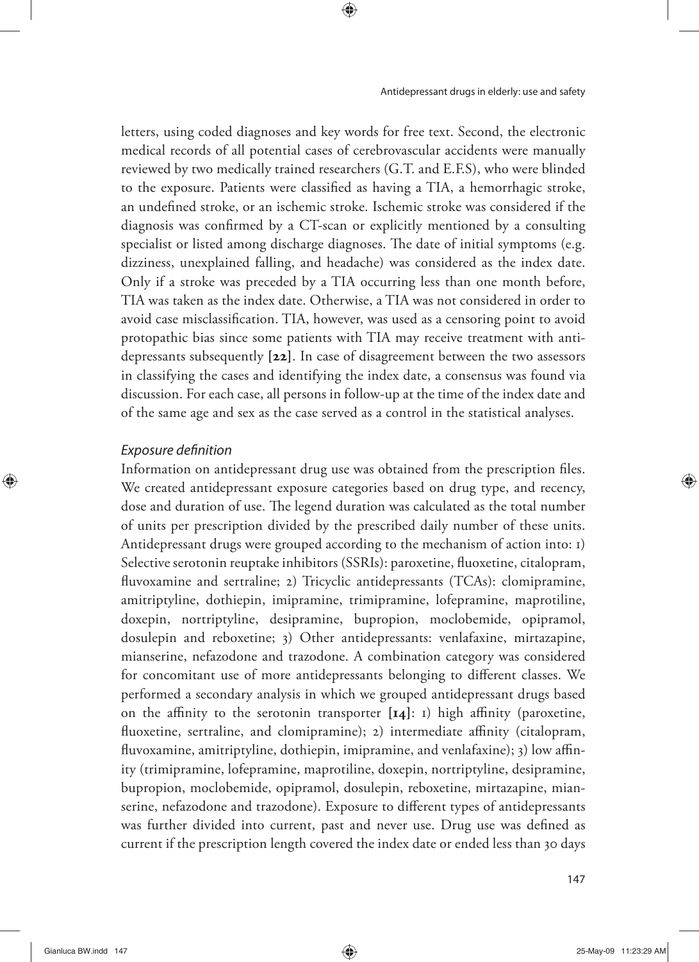letters, using coded diagnoses and key words for free text. Second, the electronic medical records of all potential cases of cerebrovascular accidents were manually reviewed by two medically trained researchers (G.T. and E.F.S), who were blinded to the exposure. Patients were classified as having a TIA, a hemorrhagic stroke, an undefined stroke, or an ischemic stroke. Ischemic stroke was considered if the diagnosis was confirmed by a CT-scan or explicitly mentioned by a consulting specialist or listed among discharge diagnoses. The date of initial symptoms (e.g. dizziness, unexplained falling, and headache) was considered as the index date. Only if a stroke was preceded by a TIA occurring less than one month before, TIA was taken as the index date. Otherwise, a TIA was not considered in order to avoid case misclassification. TIA, however, was used as a censoring point to avoid protopathic bias since some patients with TIA may receive treatment with antidepressants subsequently **[22]**. In case of disagreement between the two assessors in classifying the cases and identifying the index date, a consensus was found via discussion. For each case, all persons in follow-up at the time of the index date and of the same age and sex as the case served as a control in the statistical analyses.

## Exposure definition

Information on antidepressant drug use was obtained from the prescription files. We created antidepressant exposure categories based on drug type, and recency, dose and duration of use. The legend duration was calculated as the total number of units per prescription divided by the prescribed daily number of these units. Antidepressant drugs were grouped according to the mechanism of action into: 1) Selective serotonin reuptake inhibitors (SSRIs): paroxetine, fluoxetine, citalopram, fluvoxamine and sertraline; 2) Tricyclic antidepressants (TCAs): clomipramine, amitriptyline, dothiepin, imipramine, trimipramine, lofepramine, maprotiline, doxepin, nortriptyline, desipramine, bupropion, moclobemide, opipramol, dosulepin and reboxetine; 3) Other antidepressants: venlafaxine, mirtazapine, mianserine, nefazodone and trazodone. A combination category was considered for concomitant use of more antidepressants belonging to different classes. We performed a secondary analysis in which we grouped antidepressant drugs based on the affinity to the serotonin transporter  $[I_4]$ : I) high affinity (paroxetine, fluoxetine, sertraline, and clomipramine); 2) intermediate affinity (citalopram, fluvoxamine, amitriptyline, dothiepin, imipramine, and venlafaxine); 3) low affinity (trimipramine, lofepramine, maprotiline, doxepin, nortriptyline, desipramine, bupropion, moclobemide, opipramol, dosulepin, reboxetine, mirtazapine, mianserine, nefazodone and trazodone). Exposure to different types of antidepressants was further divided into current, past and never use. Drug use was defined as current if the prescription length covered the index date or ended less than 30 days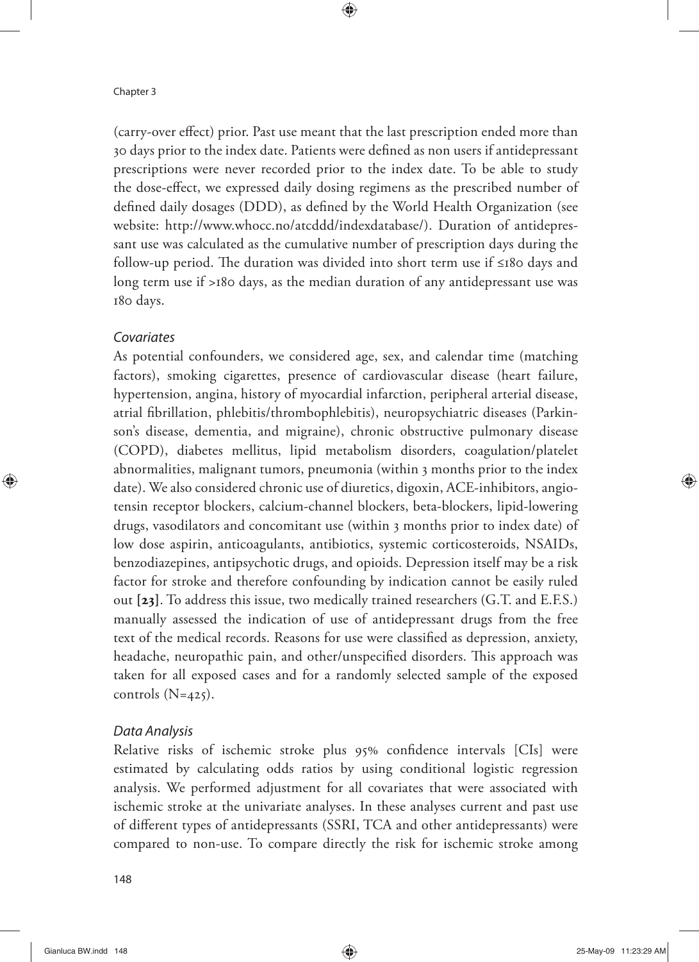(carry-over effect) prior. Past use meant that the last prescription ended more than 30 days prior to the index date. Patients were defined as non users if antidepressant prescriptions were never recorded prior to the index date. To be able to study the dose-effect, we expressed daily dosing regimens as the prescribed number of defined daily dosages (DDD), as defined by the World Health Organization (see website: http://www.whocc.no/atcddd/indexdatabase/). Duration of antidepressant use was calculated as the cumulative number of prescription days during the follow-up period. The duration was divided into short term use if ≤180 days and long term use if >180 days, as the median duration of any antidepressant use was 180 days.

## Covariates

As potential confounders, we considered age, sex, and calendar time (matching factors), smoking cigarettes, presence of cardiovascular disease (heart failure, hypertension, angina, history of myocardial infarction, peripheral arterial disease, atrial fibrillation, phlebitis/thrombophlebitis), neuropsychiatric diseases (Parkinson's disease, dementia, and migraine), chronic obstructive pulmonary disease (COPD), diabetes mellitus, lipid metabolism disorders, coagulation/platelet abnormalities, malignant tumors, pneumonia (within 3 months prior to the index date). We also considered chronic use of diuretics, digoxin, ACE-inhibitors, angiotensin receptor blockers, calcium-channel blockers, beta-blockers, lipid-lowering drugs, vasodilators and concomitant use (within 3 months prior to index date) of low dose aspirin, anticoagulants, antibiotics, systemic corticosteroids, NSAIDs, benzodiazepines, antipsychotic drugs, and opioids. Depression itself may be a risk factor for stroke and therefore confounding by indication cannot be easily ruled out **[23]**. To address this issue, two medically trained researchers (G.T. and E.F.S.) manually assessed the indication of use of antidepressant drugs from the free text of the medical records. Reasons for use were classified as depression, anxiety, headache, neuropathic pain, and other/unspecified disorders. This approach was taken for all exposed cases and for a randomly selected sample of the exposed controls  $(N=425)$ .

## Data Analysis

Relative risks of ischemic stroke plus 95% confidence intervals [CIs] were estimated by calculating odds ratios by using conditional logistic regression analysis. We performed adjustment for all covariates that were associated with ischemic stroke at the univariate analyses. In these analyses current and past use of different types of antidepressants (SSRI, TCA and other antidepressants) were compared to non-use. To compare directly the risk for ischemic stroke among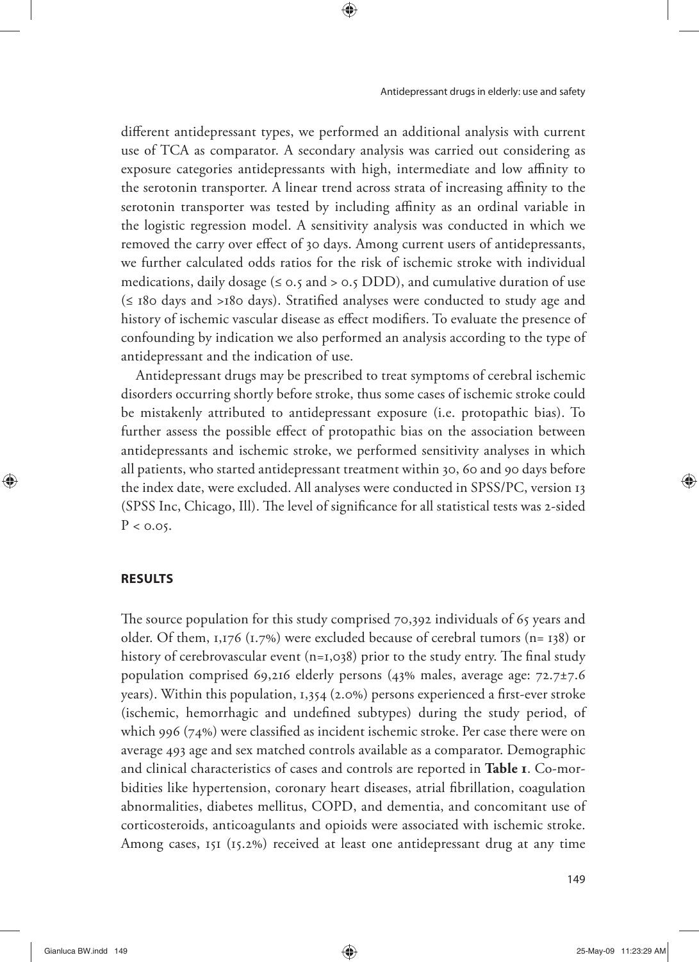different antidepressant types, we performed an additional analysis with current use of TCA as comparator. A secondary analysis was carried out considering as exposure categories antidepressants with high, intermediate and low affinity to the serotonin transporter. A linear trend across strata of increasing affinity to the serotonin transporter was tested by including affinity as an ordinal variable in the logistic regression model. A sensitivity analysis was conducted in which we removed the carry over effect of 30 days. Among current users of antidepressants, we further calculated odds ratios for the risk of ischemic stroke with individual medications, daily dosage ( $\leq$  0.5 and  $>$  0.5 DDD), and cumulative duration of use  $(\leq$  180 days and >180 days). Stratified analyses were conducted to study age and history of ischemic vascular disease as effect modifiers. To evaluate the presence of confounding by indication we also performed an analysis according to the type of antidepressant and the indication of use.

Antidepressant drugs may be prescribed to treat symptoms of cerebral ischemic disorders occurring shortly before stroke, thus some cases of ischemic stroke could be mistakenly attributed to antidepressant exposure (i.e. protopathic bias). To further assess the possible effect of protopathic bias on the association between antidepressants and ischemic stroke, we performed sensitivity analyses in which all patients, who started antidepressant treatment within 30, 60 and 90 days before the index date, were excluded. All analyses were conducted in SPSS/PC, version 13 (SPSS Inc, Chicago, Ill). The level of significance for all statistical tests was 2-sided  $P < 0.05$ .

#### **RESULTS**

The source population for this study comprised 70,392 individuals of 65 years and older. Of them, 1,176 (1.7%) were excluded because of cerebral tumors (n= 138) or history of cerebrovascular event  $(n=1,0,38)$  prior to the study entry. The final study population comprised 69,216 elderly persons (43% males, average age:  $72.7\pm7.6$ ) years). Within this population,  $1,354$  (2.0%) persons experienced a first-ever stroke (ischemic, hemorrhagic and undefined subtypes) during the study period, of which 996 ( $74\%$ ) were classified as incident ischemic stroke. Per case there were on average 493 age and sex matched controls available as a comparator. Demographic and clinical characteristics of cases and controls are reported in **Table 1**. Co-morbidities like hypertension, coronary heart diseases, atrial fibrillation, coagulation abnormalities, diabetes mellitus, COPD, and dementia, and concomitant use of corticosteroids, anticoagulants and opioids were associated with ischemic stroke. Among cases, 151 (15.2%) received at least one antidepressant drug at any time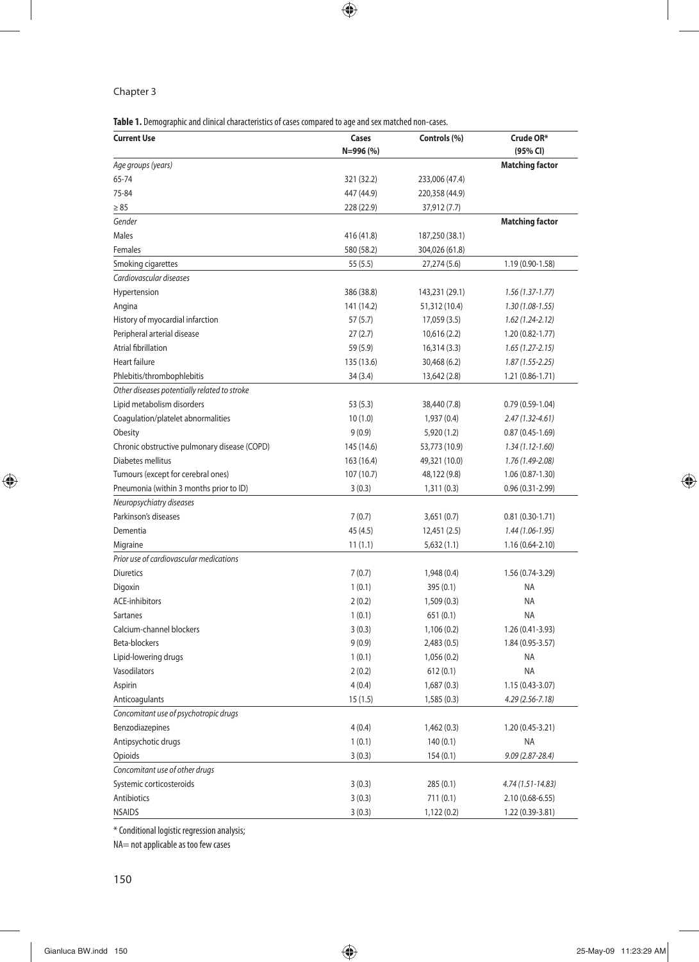#### Chapter 3

**Table 1.** Demographic and clinical characteristics of cases compared to age and sex matched non-cases.

| <b>Current Use</b>                           | Cases      | Controls (%)   | Crude OR*              |  |
|----------------------------------------------|------------|----------------|------------------------|--|
|                                              | N=996 (%)  |                | (95% CI)               |  |
| Age groups (years)                           |            |                | <b>Matching factor</b> |  |
| 65-74                                        | 321 (32.2) | 233,006 (47.4) |                        |  |
| 75-84                                        | 447 (44.9) | 220,358 (44.9) |                        |  |
| $\geq 85$                                    | 228 (22.9) | 37,912 (7.7)   |                        |  |
| Gender                                       |            |                | <b>Matching factor</b> |  |
| <b>Males</b>                                 | 416 (41.8) | 187,250 (38.1) |                        |  |
| Females                                      | 580 (58.2) | 304,026 (61.8) |                        |  |
| Smoking cigarettes                           | 55(5.5)    | 27,274 (5.6)   | 1.19 (0.90-1.58)       |  |
| Cardiovascular diseases                      |            |                |                        |  |
| Hypertension                                 | 386 (38.8) | 143,231 (29.1) | $1.56(1.37-1.77)$      |  |
| Angina                                       | 141 (14.2) | 51,312 (10.4)  | $1.30(1.08-1.55)$      |  |
| History of myocardial infarction             | 57(5.7)    | 17,059 (3.5)   | $1.62(1.24-2.12)$      |  |
| Peripheral arterial disease                  | 27(2.7)    | 10,616 (2.2)   | 1.20 (0.82-1.77)       |  |
| Atrial fibrillation                          | 59 (5.9)   | 16,314 (3.3)   | $1.65(1.27 - 2.15)$    |  |
| <b>Heart failure</b>                         | 135 (13.6) | 30,468 (6.2)   | $1.87(1.55 - 2.25)$    |  |
| Phlebitis/thrombophlebitis                   | 34 (3.4)   | 13,642 (2.8)   | 1.21 (0.86-1.71)       |  |
| Other diseases potentially related to stroke |            |                |                        |  |
| Lipid metabolism disorders                   | 53 (5.3)   | 38,440 (7.8)   | $0.79(0.59-1.04)$      |  |
| Coagulation/platelet abnormalities           | 10(1.0)    | 1,937 (0.4)    | $2.47(1.32 - 4.61)$    |  |
| Obesity                                      | 9(0.9)     | 5,920 (1.2)    | $0.87(0.45-1.69)$      |  |
| Chronic obstructive pulmonary disease (COPD) | 145 (14.6) | 53,773 (10.9)  | $1.34(1.12 - 1.60)$    |  |
| Diabetes mellitus                            | 163 (16.4) | 49,321 (10.0)  | 1.76 (1.49-2.08)       |  |
| Tumours (except for cerebral ones)           | 107 (10.7) | 48,122 (9.8)   | $1.06(0.87-1.30)$      |  |
| Pneumonia (within 3 months prior to ID)      | 3(0.3)     | 1,311(0.3)     | $0.96(0.31 - 2.99)$    |  |
| Neuropsychiatry diseases                     |            |                |                        |  |
| Parkinson's diseases                         | 7(0.7)     | 3,651(0.7)     | $0.81(0.30-1.71)$      |  |
| Dementia                                     | 45 (4.5)   | 12,451 (2.5)   | $1.44(1.06-1.95)$      |  |
| Migraine                                     |            |                | 1.16 (0.64-2.10)       |  |
| Prior use of cardiovascular medications      | 11(1.1)    | 5,632(1.1)     |                        |  |
| <b>Diuretics</b>                             | 7(0.7)     |                | 1.56 (0.74-3.29)       |  |
|                                              |            | 1,948 (0.4)    |                        |  |
| Digoxin                                      | 1(0.1)     | 395 (0.1)      | <b>NA</b>              |  |
| <b>ACE-inhibitors</b>                        | 2(0.2)     | 1,509 (0.3)    | <b>NA</b>              |  |
| <b>Sartanes</b>                              | 1(0.1)     | 651(0.1)       | <b>NA</b>              |  |
| Calcium-channel blockers                     | 3(0.3)     | 1,106 (0.2)    | 1.26 (0.41-3.93)       |  |
| Beta-blockers                                | 9(0.9)     | 2,483 (0.5)    | 1.84 (0.95-3.57)       |  |
| Lipid-lowering drugs                         | 1(0.1)     | 1,056(0.2)     | <b>NA</b>              |  |
| Vasodilators                                 | 2(0.2)     | 612(0.1)       | <b>NA</b>              |  |
| Aspirin                                      | 4(0.4)     | 1,687(0.3)     | 1.15 (0.43-3.07)       |  |
| Anticoagulants                               | 15(1.5)    | 1,585(0.3)     | 4.29 (2.56-7.18)       |  |
| Concomitant use of psychotropic drugs        |            |                |                        |  |
| Benzodiazepines                              | 4(0.4)     | 1,462 (0.3)    | 1.20 (0.45-3.21)       |  |
| Antipsychotic drugs                          | 1(0.1)     | 140(0.1)       | <b>NA</b>              |  |
| Opioids                                      | 3(0.3)     | 154(0.1)       | 9.09 (2.87-28.4)       |  |
| Concomitant use of other drugs               |            |                |                        |  |
| Systemic corticosteroids                     | 3(0.3)     | 285(0.1)       | 4.74 (1.51-14.83)      |  |
| Antibiotics                                  | 3(0.3)     | 711(0.1)       | 2.10 (0.68-6.55)       |  |
| <b>NSAIDS</b>                                | 3(0.3)     | 1,122(0.2)     | 1.22 (0.39-3.81)       |  |

\* Conditional logistic regression analysis;

NA= not applicable as too few cases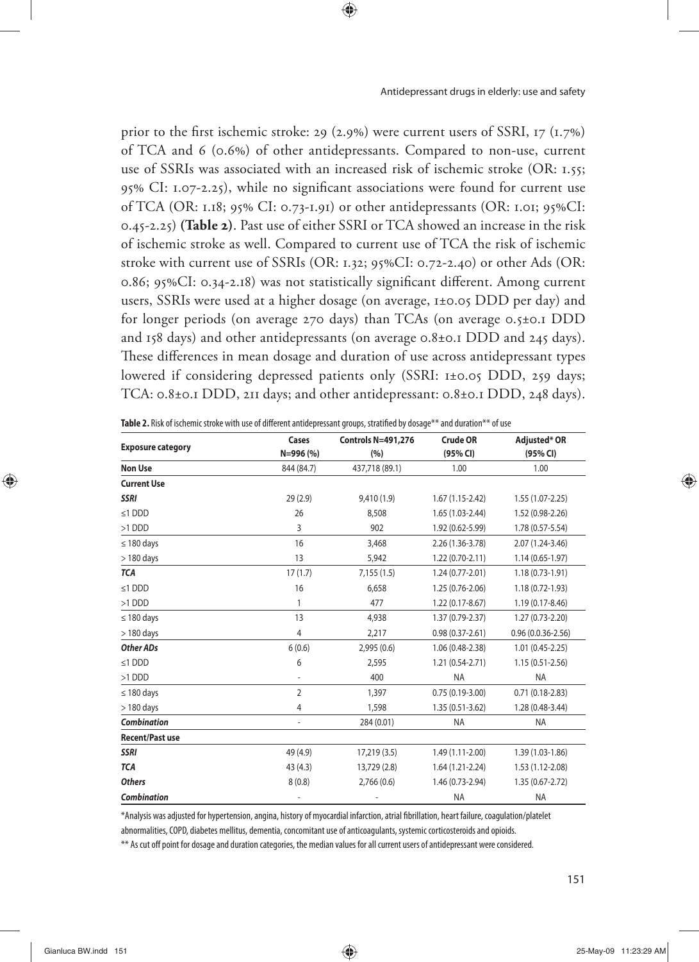prior to the first ischemic stroke: 29 (2.9%) were current users of SSRI, 17 (1.7%) of TCA and 6 (0.6%) of other antidepressants. Compared to non-use, current use of SSRIs was associated with an increased risk of ischemic stroke (OR: 1.55; 95% CI: 1.07-2.25), while no significant associations were found for current use of TCA (OR: 1.18; 95% CI: 0.73-1.91) or other antidepressants (OR: 1.01; 95%CI: 0.45-2.25) **(Table 2)**. Past use of either SSRI or TCA showed an increase in the risk of ischemic stroke as well. Compared to current use of TCA the risk of ischemic stroke with current use of SSRIs (OR: 1.32; 95%CI: 0.72-2.40) or other Ads (OR: 0.86; 95%CI: 0.34-2.18) was not statistically significant different. Among current users, SSRIs were used at a higher dosage (on average, 1±0.05 DDD per day) and for longer periods (on average 270 days) than TCAs (on average 0.5±0.1 DDD and 158 days) and other antidepressants (on average 0.8±0.1 DDD and 245 days). These differences in mean dosage and duration of use across antidepressant types lowered if considering depressed patients only (SSRI: 1±0.05 DDD, 259 days; TCA: 0.8±0.1 DDD, 211 days; and other antidepressant: 0.8±0.1 DDD, 248 days).

|                          | Cases          | <b>Controls N=491,276</b> | <b>Crude OR</b>                         | Adjusted* OR          |  |
|--------------------------|----------------|---------------------------|-----------------------------------------|-----------------------|--|
| <b>Exposure category</b> |                |                           |                                         |                       |  |
|                          | N=996 (%)      | (%)                       | (95% CI)                                | (95% CI)              |  |
| <b>Non Use</b>           | 844 (84.7)     | 437,718 (89.1)            | 1.00                                    | 1.00                  |  |
| <b>Current Use</b>       |                |                           |                                         |                       |  |
| <b>SSRI</b>              | 29(2.9)        | 9,410 (1.9)               | $1.67(1.15-2.42)$                       | $1.55(1.07 - 2.25)$   |  |
| $≤1$ DDD                 | 26             | 8,508                     | $1.65(1.03-2.44)$                       | 1.52 (0.98-2.26)      |  |
| >1 DDD                   | 3              | 902                       | 1.92 (0.62-5.99)                        | 1.78 (0.57-5.54)      |  |
| $\leq$ 180 days          | 16             | 3,468                     | 2.26 (1.36-3.78)<br>2.07 (1.24-3.46)    |                       |  |
| $>$ 180 days             | 13             | 5,942                     | $1.22(0.70-2.11)$                       | $1.14(0.65-1.97)$     |  |
| <b>TCA</b>               | 17(1.7)        | 7,155(1.5)                | $1.24(0.77-2.01)$                       | $1.18(0.73-1.91)$     |  |
| $≤1$ DDD                 | 16             | 6,658                     | 1.25 (0.76-2.06)                        | 1.18 (0.72-1.93)      |  |
| >1 DDD                   | 1              | 477                       | $1.22(0.17-8.67)$                       | 1.19 (0.17-8.46)      |  |
| $\leq$ 180 days          | 13             | 4,938                     | 1.37 (0.79-2.37)                        | 1.27 (0.73-2.20)      |  |
| $> 180$ days             | 4              | 2,217                     | $0.98(0.37 - 2.61)$                     | $0.96(0.0.36 - 2.56)$ |  |
| Other ADs                | 6(0.6)         | 2,995(0.6)                | 1.06 (0.48-2.38)                        | $1.01(0.45-2.25)$     |  |
| $≤1$ DDD                 | 6              | 2,595                     | 1.21 (0.54-2.71)<br>$1.15(0.51 - 2.56)$ |                       |  |
| >1 DDD                   |                | 400                       | <b>NA</b><br><b>NA</b>                  |                       |  |
| $\leq$ 180 days          | $\overline{2}$ | 1,397                     | $0.75(0.19-3.00)$<br>$0.71(0.18-2.83)$  |                       |  |
| $>$ 180 days             | 4              | 1,598                     | $1.35(0.51-3.62)$                       | 1.28 (0.48-3.44)      |  |
| <b>Combination</b>       |                | 284 (0.01)                | <b>NA</b>                               | NA                    |  |
| <b>Recent/Past use</b>   |                |                           |                                         |                       |  |
| <b>SSRI</b>              | 49 (4.9)       | 17,219 (3.5)              | 1.49 (1.11-2.00)                        | 1.39 (1.03-1.86)      |  |
| <b>TCA</b>               | 43(4.3)        | 13,729 (2.8)              | $1.64(1.21-2.24)$                       | 1.53 (1.12-2.08)      |  |
| <b>Others</b>            | 8(0.8)         | 2,766(0.6)                | 1.46 (0.73-2.94)                        | 1.35 (0.67-2.72)      |  |
| Combination              |                |                           | <b>NA</b>                               | <b>NA</b>             |  |

Table 2. Risk of ischemic stroke with use of different antidepressant groups, stratified by dosage\*\* and duration\*\* of use

\*Analysis was adjusted for hypertension, angina, history of myocardial infarction, atrial fi brillation, heart failure, coagulation/platelet abnormalities, COPD, diabetes mellitus, dementia, concomitant use of anticoagulants, systemic corticosteroids and opioids.

\*\* As cut off point for dosage and duration categories, the median values for all current users of antidepressant were considered.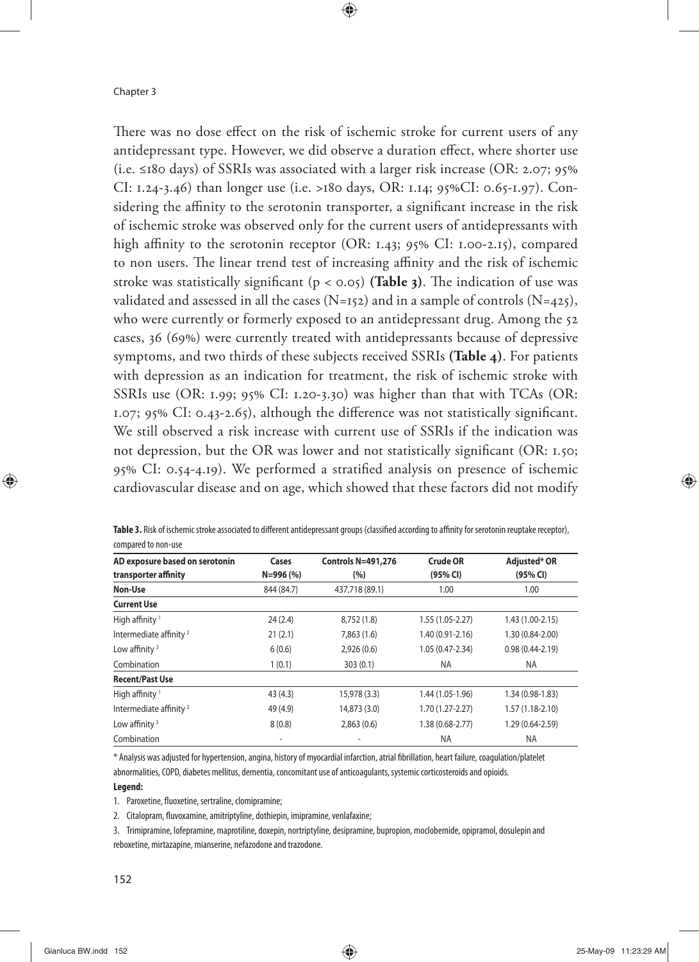There was no dose effect on the risk of ischemic stroke for current users of any antidepressant type. However, we did observe a duration effect, where shorter use (i.e. ≤180 days) of SSRIs was associated with a larger risk increase (OR: 2.07; 95% CI: 1.24-3.46) than longer use (i.e. >180 days, OR: 1.14; 95%CI: 0.65-1.97). Considering the affinity to the serotonin transporter, a significant increase in the risk of ischemic stroke was observed only for the current users of antidepressants with high affinity to the serotonin receptor (OR: 1.43; 95% CI: 1.00-2.15), compared to non users. The linear trend test of increasing affinity and the risk of ischemic stroke was statistically significant ( $p < 0.05$ ) (**Table 3**). The indication of use was validated and assessed in all the cases (N=152) and in a sample of controls (N=425), who were currently or formerly exposed to an antidepressant drug. Among the 52 cases, 36 (69%) were currently treated with antidepressants because of depressive symptoms, and two thirds of these subjects received SSRIs **(Table 4)**. For patients with depression as an indication for treatment, the risk of ischemic stroke with SSRIs use (OR: 1.99; 95% CI: 1.20-3.30) was higher than that with TCAs (OR: 1.07; 95% CI: 0.43-2.65), although the difference was not statistically significant. We still observed a risk increase with current use of SSRIs if the indication was not depression, but the OR was lower and not statistically significant (OR:  $1.50$ ; 95% CI: 0.54-4.19). We performed a stratified analysis on presence of ischemic cardiovascular disease and on age, which showed that these factors did not modify

| COMPAIL LOTION USE                                     |                    |                                  |                      |                          |
|--------------------------------------------------------|--------------------|----------------------------------|----------------------|--------------------------|
| AD exposure based on serotonin<br>transporter affinity | Cases<br>N=996 (%) | <b>Controls N=491,276</b><br>(%) | Crude OR<br>(95% CI) | Adjusted* OR<br>(95% CI) |
| Non-Use                                                | 844 (84.7)         | 437,718 (89.1)                   | 1.00                 | 1.00                     |
| <b>Current Use</b>                                     |                    |                                  |                      |                          |
| High affinity <sup>1</sup>                             | 24(2.4)            | 8,752 (1.8)                      | 1.55 (1.05-2.27)     | 1.43 (1.00-2.15)         |
| Intermediate affinity <sup>2</sup>                     | 21(2.1)            | 7,863(1.6)                       | $1.40(0.91 - 2.16)$  | 1.30 (0.84-2.00)         |
| Low affinity $3$                                       | 6(0.6)             | 2,926(0.6)                       | 1.05 (0.47-2.34)     | $0.98(0.44 - 2.19)$      |
| Combination                                            | 1(0.1)             | 303(0.1)                         | <b>NA</b>            | NA.                      |
| <b>Recent/Past Use</b>                                 |                    |                                  |                      |                          |
| High affinity <sup>1</sup>                             | 43 (4.3)           | 15,978 (3.3)                     | 1.44 (1.05-1.96)     | 1.34 (0.98-1.83)         |
| Intermediate affinity <sup>2</sup>                     | 49 (4.9)           | 14,873 (3.0)                     | $1.70(1.27 - 2.27)$  | $1.57(1.18-2.10)$        |
| Low affinity $3$                                       | 8(0.8)             | 2,863(0.6)                       | 1.38 (0.68-2.77)     | 1.29 (0.64-2.59)         |
| Combination                                            |                    |                                  | <b>NA</b>            | <b>NA</b>                |

|                     |  | <b>Table 3.</b> Risk of ischemic stroke associated to different antidepressant groups (classified according to affinity for serotonin reuptake receptor), |  |
|---------------------|--|-----------------------------------------------------------------------------------------------------------------------------------------------------------|--|
| compared to non-use |  |                                                                                                                                                           |  |

\* Analysis was adjusted for hypertension, angina, history of myocardial infarction, atrial fi brillation, heart failure, coagulation/platelet abnormalities, COPD, diabetes mellitus, dementia, concomitant use of anticoagulants, systemic corticosteroids and opioids.

#### **Legend:**

1. Paroxetine, fluoxetine, sertraline, clomipramine;

2. Citalopram, fluvoxamine, amitriptyline, dothiepin, imipramine, venlafaxine;

3. Trimipramine, lofepramine, maprotiline, doxepin, nortriptyline, desipramine, bupropion, moclobemide, opipramol, dosulepin and reboxetine, mirtazapine, mianserine, nefazodone and trazodone.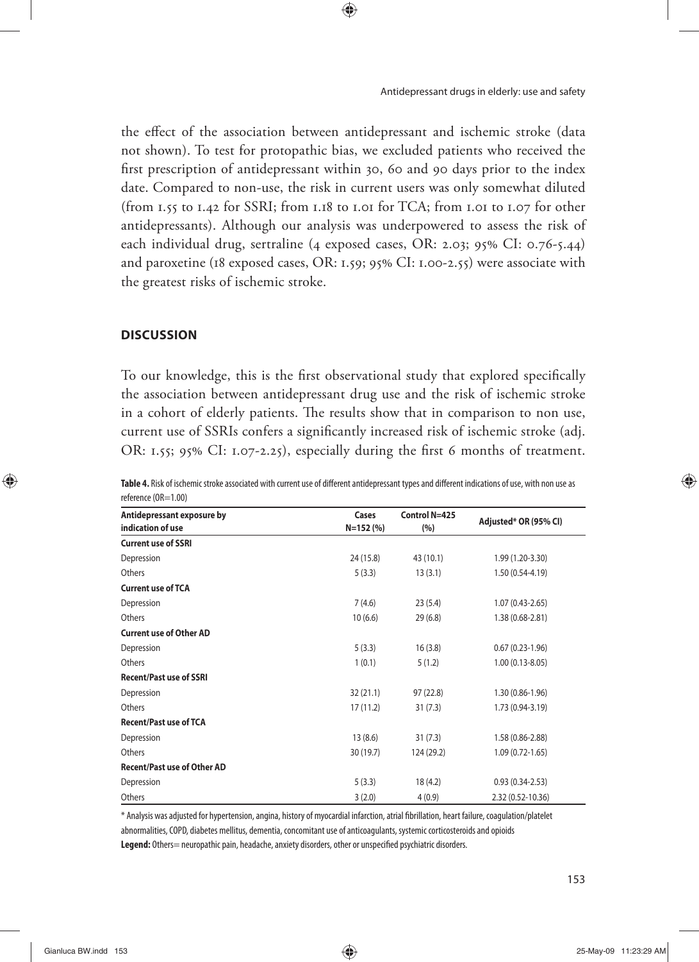the effect of the association between antidepressant and ischemic stroke (data not shown). To test for protopathic bias, we excluded patients who received the first prescription of antidepressant within 30, 60 and 90 days prior to the index date. Compared to non-use, the risk in current users was only somewhat diluted (from 1.55 to 1.42 for SSRI; from 1.18 to 1.01 for TCA; from 1.01 to 1.07 for other antidepressants). Although our analysis was underpowered to assess the risk of each individual drug, sertraline (4 exposed cases, OR: 2.03; 95% CI: 0.76-5.44) and paroxetine (18 exposed cases, OR: 1.59; 95% CI: 1.00-2.55) were associate with the greatest risks of ischemic stroke.

#### **DISCUSSION**

To our knowledge, this is the first observational study that explored specifically the association between antidepressant drug use and the risk of ischemic stroke in a cohort of elderly patients. The results show that in comparison to non use, current use of SSRIs confers a significantly increased risk of ischemic stroke (adj. OR: 1.55; 95% CI: 1.07-2.25), especially during the first 6 months of treatment.

| Antidepressant exposure by     | Cases        | Control N=425 | Adjusted* OR (95% CI) |  |
|--------------------------------|--------------|---------------|-----------------------|--|
| indication of use              | $N = 152(%)$ | (%)           |                       |  |
| <b>Current use of SSRI</b>     |              |               |                       |  |
| Depression                     | 24 (15.8)    | 43 (10.1)     | 1.99 (1.20-3.30)      |  |
| Others                         | 5(3.3)       | 13(3.1)       | $1.50(0.54-4.19)$     |  |
| <b>Current use of TCA</b>      |              |               |                       |  |
| Depression                     | 7(4.6)       | 23(5.4)       | $1.07(0.43 - 2.65)$   |  |
| Others                         | 10(6.6)      | 29(6.8)       | 1.38 (0.68-2.81)      |  |
| <b>Current use of Other AD</b> |              |               |                       |  |
| Depression                     | 5(3.3)       | 16(3.8)       | $0.67(0.23-1.96)$     |  |
| Others                         | 1(0.1)       | 5(1.2)        | $1.00(0.13 - 8.05)$   |  |
| <b>Recent/Past use of SSRI</b> |              |               |                       |  |
| Depression                     | 32(21.1)     | 97(22.8)      | $1.30(0.86 - 1.96)$   |  |
| Others                         | 17(11.2)     | 31(7.3)       | 1.73 (0.94-3.19)      |  |
| <b>Recent/Past use of TCA</b>  |              |               |                       |  |
| Depression                     | 13(8.6)      | 31(7.3)       | 1.58 (0.86-2.88)      |  |
| Others                         | 30 (19.7)    | 124 (29.2)    | $1.09(0.72 - 1.65)$   |  |
| Recent/Past use of Other AD    |              |               |                       |  |
| Depression                     | 5(3.3)       | 18 (4.2)      | $0.93(0.34-2.53)$     |  |
| Others                         | 3(2.0)       | 4(0.9)        | 2.32 (0.52-10.36)     |  |

| Table 4. Risk of ischemic stroke associated with current use of different antidepressant types and different indications of use, with non use as |
|--------------------------------------------------------------------------------------------------------------------------------------------------|
| reference (OR=1.00)                                                                                                                              |

\* Analysis was adjusted for hypertension, angina, history of myocardial infarction, atrial fi brillation, heart failure, coagulation/platelet abnormalities, COPD, diabetes mellitus, dementia, concomitant use of anticoagulants, systemic corticosteroids and opioids

Legend: Others= neuropathic pain, headache, anxiety disorders, other or unspecified psychiatric disorders.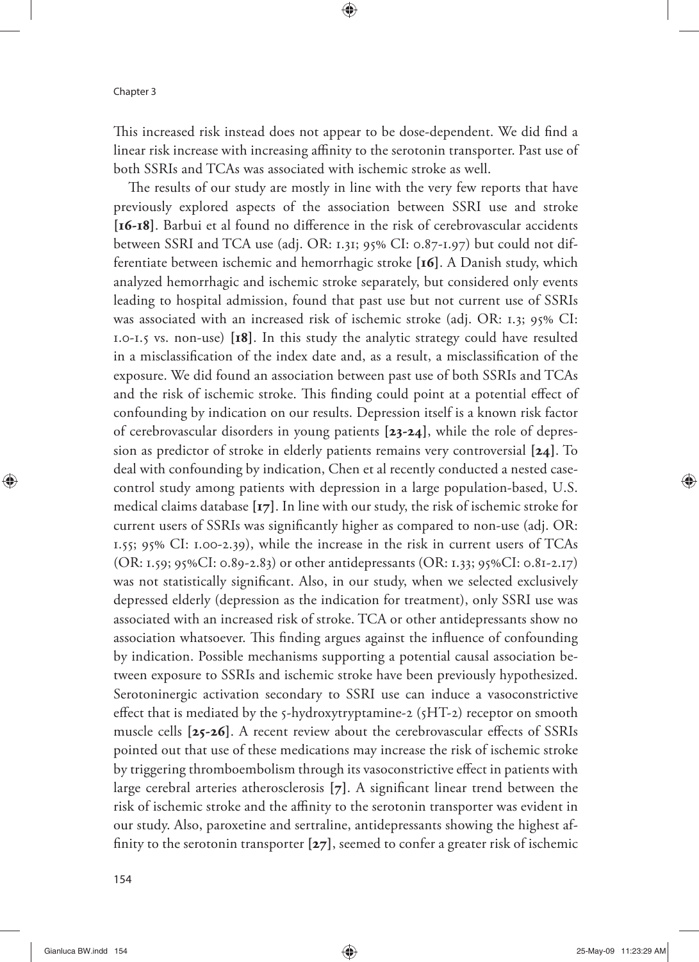This increased risk instead does not appear to be dose-dependent. We did find a linear risk increase with increasing affinity to the serotonin transporter. Past use of both SSRIs and TCAs was associated with ischemic stroke as well.

The results of our study are mostly in line with the very few reports that have previously explored aspects of the association between SSRI use and stroke [16-18]. Barbui et al found no difference in the risk of cerebrovascular accidents between SSRI and TCA use (adj. OR: 1.31;  $95\%$  CI: 0.87-1.97) but could not differentiate between ischemic and hemorrhagic stroke **[16]**. A Danish study, which analyzed hemorrhagic and ischemic stroke separately, but considered only events leading to hospital admission, found that past use but not current use of SSRIs was associated with an increased risk of ischemic stroke (adj. OR: 1.3; 95% CI: 1.0-1.5 vs. non-use) **[18]**. In this study the analytic strategy could have resulted in a misclassification of the index date and, as a result, a misclassification of the exposure. We did found an association between past use of both SSRIs and TCAs and the risk of ischemic stroke. This finding could point at a potential effect of confounding by indication on our results. Depression itself is a known risk factor of cerebrovascular disorders in young patients **[23-24]**, while the role of depression as predictor of stroke in elderly patients remains very controversial **[24]**. To deal with confounding by indication, Chen et al recently conducted a nested casecontrol study among patients with depression in a large population-based, U.S. medical claims database **[17]**. In line with our study, the risk of ischemic stroke for current users of SSRIs was significantly higher as compared to non-use (adj. OR: 1.55; 95% CI: 1.00-2.39), while the increase in the risk in current users of TCAs (OR: 1.59; 95%CI: 0.89-2.83) or other antidepressants (OR: 1.33; 95%CI: 0.81-2.17) was not statistically significant. Also, in our study, when we selected exclusively depressed elderly (depression as the indication for treatment), only SSRI use was associated with an increased risk of stroke. TCA or other antidepressants show no association whatsoever. This finding argues against the influence of confounding by indication. Possible mechanisms supporting a potential causal association between exposure to SSRIs and ischemic stroke have been previously hypothesized. Serotoninergic activation secondary to SSRI use can induce a vasoconstrictive effect that is mediated by the  $5$ -hydroxytryptamine-2 ( $5HT-2$ ) receptor on smooth muscle cells [25-26]. A recent review about the cerebrovascular effects of SSRIs pointed out that use of these medications may increase the risk of ischemic stroke by triggering thromboembolism through its vasoconstrictive effect in patients with large cerebral arteries atherosclerosis [7]. A significant linear trend between the risk of ischemic stroke and the affinity to the serotonin transporter was evident in our study. Also, paroxetine and sertraline, antidepressants showing the highest affinity to the serotonin transporter  $[z7]$ , seemed to confer a greater risk of ischemic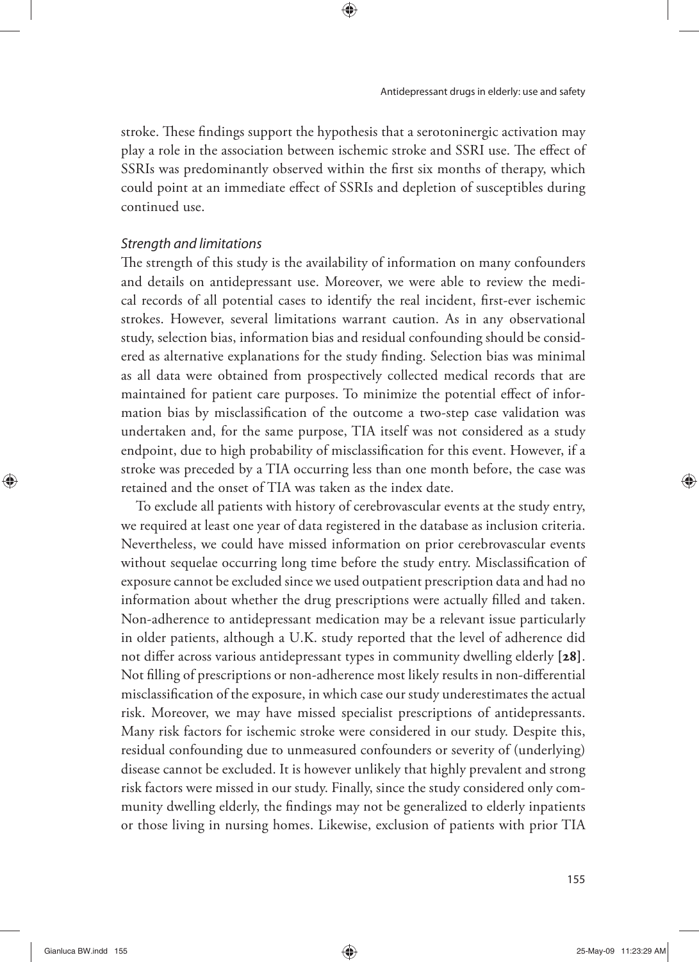stroke. These findings support the hypothesis that a serotoninergic activation may play a role in the association between ischemic stroke and SSRI use. The effect of SSRIs was predominantly observed within the first six months of therapy, which could point at an immediate effect of SSRIs and depletion of susceptibles during continued use.

#### Strength and limitations

The strength of this study is the availability of information on many confounders and details on antidepressant use. Moreover, we were able to review the medical records of all potential cases to identify the real incident, first-ever ischemic strokes. However, several limitations warrant caution. As in any observational study, selection bias, information bias and residual confounding should be considered as alternative explanations for the study finding. Selection bias was minimal as all data were obtained from prospectively collected medical records that are maintained for patient care purposes. To minimize the potential effect of information bias by misclassification of the outcome a two-step case validation was undertaken and, for the same purpose, TIA itself was not considered as a study endpoint, due to high probability of misclassification for this event. However, if a stroke was preceded by a TIA occurring less than one month before, the case was retained and the onset of TIA was taken as the index date.

To exclude all patients with history of cerebrovascular events at the study entry, we required at least one year of data registered in the database as inclusion criteria. Nevertheless, we could have missed information on prior cerebrovascular events without sequelae occurring long time before the study entry. Misclassification of exposure cannot be excluded since we used outpatient prescription data and had no information about whether the drug prescriptions were actually filled and taken. Non-adherence to antidepressant medication may be a relevant issue particularly in older patients, although a U.K. study reported that the level of adherence did not differ across various antidepressant types in community dwelling elderly [28]. Not filling of prescriptions or non-adherence most likely results in non-differential misclassification of the exposure, in which case our study underestimates the actual risk. Moreover, we may have missed specialist prescriptions of antidepressants. Many risk factors for ischemic stroke were considered in our study. Despite this, residual confounding due to unmeasured confounders or severity of (underlying) disease cannot be excluded. It is however unlikely that highly prevalent and strong risk factors were missed in our study. Finally, since the study considered only community dwelling elderly, the findings may not be generalized to elderly inpatients or those living in nursing homes. Likewise, exclusion of patients with prior TIA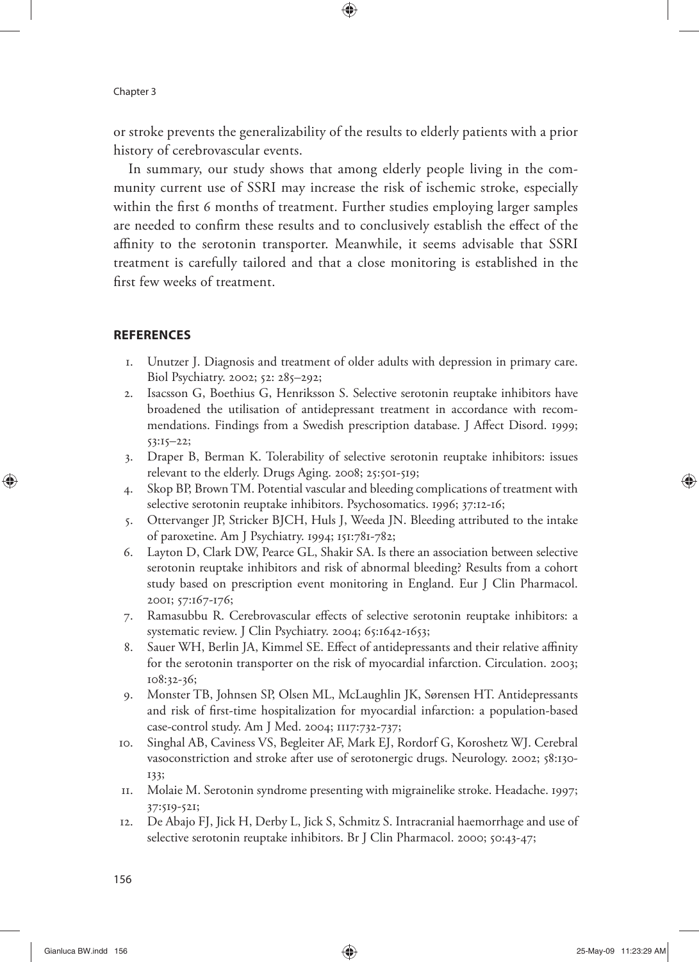or stroke prevents the generalizability of the results to elderly patients with a prior history of cerebrovascular events.

In summary, our study shows that among elderly people living in the community current use of SSRI may increase the risk of ischemic stroke, especially within the first 6 months of treatment. Further studies employing larger samples are needed to confirm these results and to conclusively establish the effect of the affinity to the serotonin transporter. Meanwhile, it seems advisable that SSRI treatment is carefully tailored and that a close monitoring is established in the first few weeks of treatment.

## **REFERENCES**

- 1. Unutzer J. Diagnosis and treatment of older adults with depression in primary care. Biol Psychiatry. 2002; 52: 285–292;
- 2. Isacsson G, Boethius G, Henriksson S. Selective serotonin reuptake inhibitors have broadened the utilisation of antidepressant treatment in accordance with recommendations. Findings from a Swedish prescription database. J Affect Disord. 1999; 53:15–22;
- 3. Draper B, Berman K. Tolerability of selective serotonin reuptake inhibitors: issues relevant to the elderly. Drugs Aging. 2008; 25:501-519;
- 4. Skop BP, Brown TM. Potential vascular and bleeding complications of treatment with selective serotonin reuptake inhibitors. Psychosomatics. 1996; 37:12-16;
- 5. Ottervanger JP, Stricker BJCH, Huls J, Weeda JN. Bleeding attributed to the intake of paroxetine. Am J Psychiatry. 1994; 151:781-782;
- 6. Layton D, Clark DW, Pearce GL, Shakir SA. Is there an association between selective serotonin reuptake inhibitors and risk of abnormal bleeding? Results from a cohort study based on prescription event monitoring in England. Eur J Clin Pharmacol. 2001; 57:167-176;
- 7. Ramasubbu R. Cerebrovascular effects of selective serotonin reuptake inhibitors: a systematic review. J Clin Psychiatry. 2004; 65:1642-1653;
- 8. Sauer WH, Berlin JA, Kimmel SE. Effect of antidepressants and their relative affinity for the serotonin transporter on the risk of myocardial infarction. Circulation. 2003; 108:32-36;
- 9. Monster TB, Johnsen SP, Olsen ML, McLaughlin JK, Sørensen HT. Antidepressants and risk of first-time hospitalization for myocardial infarction: a population-based case-control study. Am J Med. 2004; 1117:732-737;
- 10. Singhal AB, Caviness VS, Begleiter AF, Mark EJ, Rordorf G, Koroshetz WJ. Cerebral vasoconstriction and stroke after use of serotonergic drugs. Neurology. 2002; 58:130- 133;
- 11. Molaie M. Serotonin syndrome presenting with migrainelike stroke. Headache. 1997; 37:519-521;
- 12. De Abajo FJ, Jick H, Derby L, Jick S, Schmitz S. Intracranial haemorrhage and use of selective serotonin reuptake inhibitors. Br J Clin Pharmacol. 2000; 50:43-47;